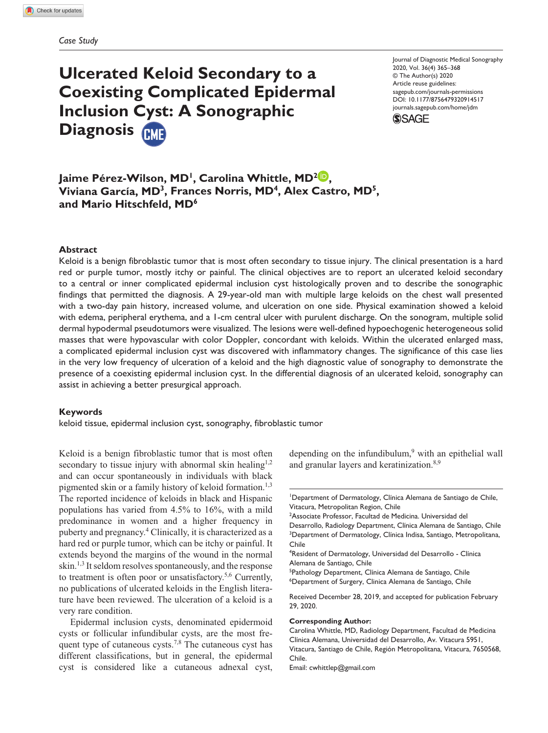# **Ulcerated Keloid Secondary to a Coexisting Complicated Epidermal Inclusion Cyst: A Sonographic Diagnosis**

https://doi.org/10.1177/8756479320914517 DOI: 10.1177/8756479320914517 Journal of Diagnostic Medical Sonography 2020, Vol. 36(4) 365–368 © The Author(s) 2020 Article reuse guidelines: [sagepub.com/journals-permissions](https://us.sagepub.com/en-us/journals-permissions) [journals.sagepub.com/home/jdm](https://journals.sagepub.com/home/jdm)



Jaime Pérez-Wilson, MD<sup>1</sup>, Carolina Whittle, MD<sup>2</sup><sup>1</sup>, **Viviana García, MD3, Frances Norris, MD4, Alex Castro, MD5, and Mario Hitschfeld, MD6**

## **Abstract**

Keloid is a benign fibroblastic tumor that is most often secondary to tissue injury. The clinical presentation is a hard red or purple tumor, mostly itchy or painful. The clinical objectives are to report an ulcerated keloid secondary to a central or inner complicated epidermal inclusion cyst histologically proven and to describe the sonographic findings that permitted the diagnosis. A 29-year-old man with multiple large keloids on the chest wall presented with a two-day pain history, increased volume, and ulceration on one side. Physical examination showed a keloid with edema, peripheral erythema, and a 1-cm central ulcer with purulent discharge. On the sonogram, multiple solid dermal hypodermal pseudotumors were visualized. The lesions were well-defined hypoechogenic heterogeneous solid masses that were hypovascular with color Doppler, concordant with keloids. Within the ulcerated enlarged mass, a complicated epidermal inclusion cyst was discovered with inflammatory changes. The significance of this case lies in the very low frequency of ulceration of a keloid and the high diagnostic value of sonography to demonstrate the presence of a coexisting epidermal inclusion cyst. In the differential diagnosis of an ulcerated keloid, sonography can assist in achieving a better presurgical approach.

#### **Keywords**

keloid tissue, epidermal inclusion cyst, sonography, fibroblastic tumor

Keloid is a benign fibroblastic tumor that is most often secondary to tissue injury with abnormal skin healing<sup>1,2</sup> and can occur spontaneously in individuals with black pigmented skin or a family history of keloid formation.<sup>1,3</sup> The reported incidence of keloids in black and Hispanic populations has varied from 4.5% to 16%, with a mild predominance in women and a higher frequency in puberty and pregnancy.4 Clinically, it is characterized as a hard red or purple tumor, which can be itchy or painful. It extends beyond the margins of the wound in the normal skin.<sup>1,3</sup> It seldom resolves spontaneously, and the response to treatment is often poor or unsatisfactory.5,6 Currently, no publications of ulcerated keloids in the English literature have been reviewed. The ulceration of a keloid is a very rare condition.

Epidermal inclusion cysts, denominated epidermoid cysts or follicular infundibular cysts, are the most frequent type of cutaneous cysts.<sup>7,8</sup> The cutaneous cyst has different classifications, but in general, the epidermal cyst is considered like a cutaneous adnexal cyst,

depending on the infundibulum,<sup>9</sup> with an epithelial wall and granular layers and keratinization.<sup>8,9</sup>

1 Department of Dermatology, Clínica Alemana de Santiago de Chile, Vitacura, Metropolitan Region, Chile

2 Associate Professor, Facultad de Medicina. Universidad del Desarrollo, Radiology Department, Clínica Alemana de Santiago, Chile <sup>3</sup>Department of Dermatology, Clínica Indisa, Santiago, Metropolitana, Chile

4 Resident of Dermatology, Universidad del Desarrollo - Clínica Alemana de Santiago, Chile

<sup>5</sup>Pathology Department, Clínica Alemana de Santiago, Chile 6 Department of Surgery, Clinica Alemana de Santiago, Chile

Received December 28, 2019, and accepted for publication February 29, 2020.

#### **Corresponding Author:**

Carolina Whittle, MD, Radiology Department, Facultad de Medicina Clínica Alemana, Universidad del Desarrollo, Av. Vitacura 5951, Vitacura, Santiago de Chile, Región Metropolitana, Vitacura, 7650568, Chile.

Email: [cwhittlep@gmail.com](mailto:cwhittlep@gmail.com)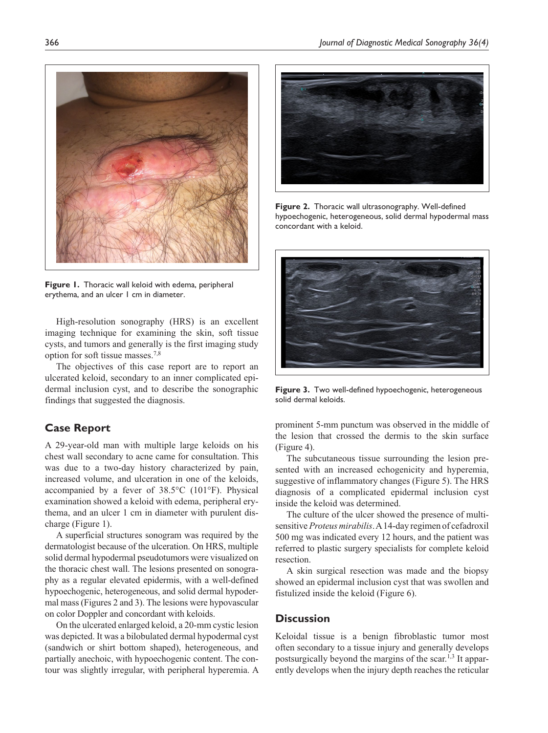

**Figure 1.** Thoracic wall keloid with edema, peripheral erythema, and an ulcer 1 cm in diameter.

High-resolution sonography (HRS) is an excellent imaging technique for examining the skin, soft tissue cysts, and tumors and generally is the first imaging study option for soft tissue masses.7,8

The objectives of this case report are to report an ulcerated keloid, secondary to an inner complicated epidermal inclusion cyst, and to describe the sonographic findings that suggested the diagnosis.

# **Case Report**

A 29-year-old man with multiple large keloids on his chest wall secondary to acne came for consultation. This was due to a two-day history characterized by pain, increased volume, and ulceration in one of the keloids, accompanied by a fever of 38.5°C (101°F). Physical examination showed a keloid with edema, peripheral erythema, and an ulcer 1 cm in diameter with purulent discharge (Figure 1).

A superficial structures sonogram was required by the dermatologist because of the ulceration. On HRS, multiple solid dermal hypodermal pseudotumors were visualized on the thoracic chest wall. The lesions presented on sonography as a regular elevated epidermis, with a well-defined hypoechogenic, heterogeneous, and solid dermal hypodermal mass (Figures 2 and 3). The lesions were hypovascular on color Doppler and concordant with keloids.

On the ulcerated enlarged keloid, a 20-mm cystic lesion was depicted. It was a bilobulated dermal hypodermal cyst (sandwich or shirt bottom shaped), heterogeneous, and partially anechoic, with hypoechogenic content. The contour was slightly irregular, with peripheral hyperemia. A



**Figure 2.** Thoracic wall ultrasonography. Well-defined hypoechogenic, heterogeneous, solid dermal hypodermal mass concordant with a keloid.



**Figure 3.** Two well-defined hypoechogenic, heterogeneous solid dermal keloids.

prominent 5-mm punctum was observed in the middle of the lesion that crossed the dermis to the skin surface (Figure 4).

The subcutaneous tissue surrounding the lesion presented with an increased echogenicity and hyperemia, suggestive of inflammatory changes (Figure 5). The HRS diagnosis of a complicated epidermal inclusion cyst inside the keloid was determined.

The culture of the ulcer showed the presence of multisensitive *Proteus mirabilis*. A 14-day regimen of cefadroxil 500 mg was indicated every 12 hours, and the patient was referred to plastic surgery specialists for complete keloid resection.

A skin surgical resection was made and the biopsy showed an epidermal inclusion cyst that was swollen and fistulized inside the keloid (Figure 6).

# **Discussion**

Keloidal tissue is a benign fibroblastic tumor most often secondary to a tissue injury and generally develops postsurgically beyond the margins of the scar.<sup>1,3</sup> It apparently develops when the injury depth reaches the reticular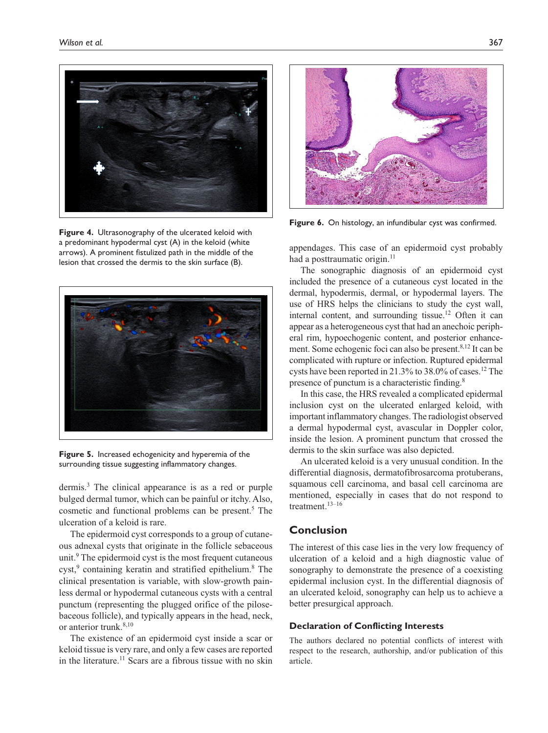

**Figure 4.** Ultrasonography of the ulcerated keloid with a predominant hypodermal cyst (A) in the keloid (white arrows). A prominent fistulized path in the middle of the lesion that crossed the dermis to the skin surface (B).



**Figure 5.** Increased echogenicity and hyperemia of the surrounding tissue suggesting inflammatory changes.

dermis.3 The clinical appearance is as a red or purple bulged dermal tumor, which can be painful or itchy. Also, cosmetic and functional problems can be present.<sup>5</sup> The ulceration of a keloid is rare.

The epidermoid cyst corresponds to a group of cutaneous adnexal cysts that originate in the follicle sebaceous unit.<sup>9</sup> The epidermoid cyst is the most frequent cutaneous cyst,<sup>9</sup> containing keratin and stratified epithelium.<sup>8</sup> The clinical presentation is variable, with slow-growth painless dermal or hypodermal cutaneous cysts with a central punctum (representing the plugged orifice of the pilosebaceous follicle), and typically appears in the head, neck, or anterior trunk.<sup>8,10</sup>

The existence of an epidermoid cyst inside a scar or keloid tissue is very rare, and only a few cases are reported in the literature.<sup>11</sup> Scars are a fibrous tissue with no skin



**Figure 6.** On histology, an infundibular cyst was confirmed.

appendages. This case of an epidermoid cyst probably had a posttraumatic origin.<sup>11</sup>

The sonographic diagnosis of an epidermoid cyst included the presence of a cutaneous cyst located in the dermal, hypodermis, dermal, or hypodermal layers. The use of HRS helps the clinicians to study the cyst wall, internal content, and surrounding tissue.<sup>12</sup> Often it can appear as a heterogeneous cyst that had an anechoic peripheral rim, hypoechogenic content, and posterior enhancement. Some echogenic foci can also be present.<sup>8,12</sup> It can be complicated with rupture or infection. Ruptured epidermal cysts have been reported in 21.3% to 38.0% of cases.12 The presence of punctum is a characteristic finding.8

In this case, the HRS revealed a complicated epidermal inclusion cyst on the ulcerated enlarged keloid, with important inflammatory changes. The radiologist observed a dermal hypodermal cyst, avascular in Doppler color, inside the lesion. A prominent punctum that crossed the dermis to the skin surface was also depicted.

An ulcerated keloid is a very unusual condition. In the differential diagnosis, dermatofibrosarcoma protuberans, squamous cell carcinoma, and basal cell carcinoma are mentioned, especially in cases that do not respond to treatment.<sup>13–16</sup>

# **Conclusion**

The interest of this case lies in the very low frequency of ulceration of a keloid and a high diagnostic value of sonography to demonstrate the presence of a coexisting epidermal inclusion cyst. In the differential diagnosis of an ulcerated keloid, sonography can help us to achieve a better presurgical approach.

# **Declaration of Conflicting Interests**

The authors declared no potential conflicts of interest with respect to the research, authorship, and/or publication of this article.